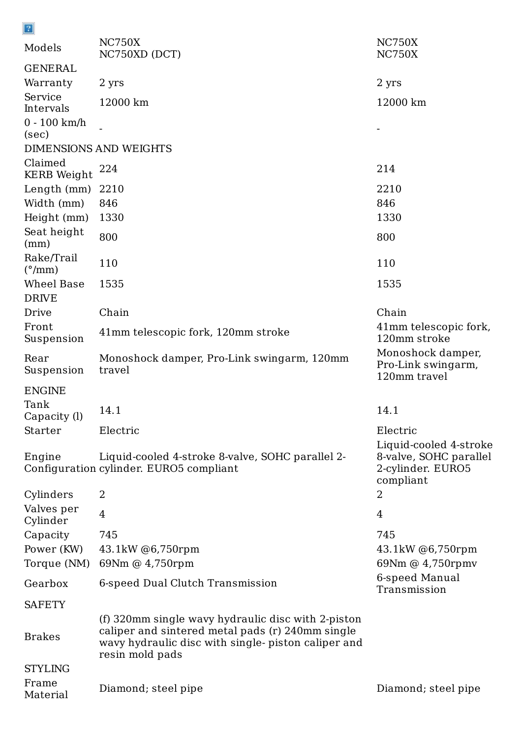| $\boxed{2}$                          |                                                                                             |                                                                                    |
|--------------------------------------|---------------------------------------------------------------------------------------------|------------------------------------------------------------------------------------|
| Models                               | <b>NC750X</b><br>NC750XD (DCT)                                                              | <b>NC750X</b><br><b>NC750X</b>                                                     |
| <b>GENERAL</b>                       |                                                                                             |                                                                                    |
| Warranty                             | 2 yrs                                                                                       | 2 yrs                                                                              |
| Service<br>Intervals                 | 12000 km                                                                                    | 12000 km                                                                           |
| $0 - 100$ km/h<br>(sec)              |                                                                                             |                                                                                    |
|                                      | <b>DIMENSIONS AND WEIGHTS</b>                                                               |                                                                                    |
| Claimed<br><b>KERB</b> Weight        | 224                                                                                         | 214                                                                                |
| Length (mm)                          | 2210                                                                                        | 2210                                                                               |
| Width (mm)                           | 846                                                                                         | 846                                                                                |
| Height (mm)                          | 1330                                                                                        | 1330                                                                               |
| Seat height<br>(mm)                  | 800                                                                                         | 800                                                                                |
| Rake/Trail<br>$(^{\circ}/\text{mm})$ | 110                                                                                         | 110                                                                                |
| Wheel Base                           | 1535                                                                                        | 1535                                                                               |
| <b>DRIVE</b>                         |                                                                                             |                                                                                    |
| Drive                                | Chain                                                                                       | Chain                                                                              |
| Front<br>Suspension                  | 41mm telescopic fork, 120mm stroke                                                          | 41mm telescopic fork,<br>120mm stroke                                              |
| Rear<br>Suspension                   | Monoshock damper, Pro-Link swingarm, 120mm<br>travel                                        | Monoshock damper,<br>Pro-Link swingarm,<br>120mm travel                            |
| <b>ENGINE</b>                        |                                                                                             |                                                                                    |
| Tank<br>Capacity (l)                 | 14.1                                                                                        | 14.1                                                                               |
| Starter                              | Electric                                                                                    | Electric                                                                           |
| Engine                               | Liquid-cooled 4-stroke 8-valve, SOHC parallel 2-<br>Configuration cylinder. EURO5 compliant | Liquid-cooled 4-stroke<br>8-valve, SOHC parallel<br>2-cylinder. EURO5<br>compliant |
| Cylinders                            | $\overline{2}$                                                                              | 2                                                                                  |
| Valves per<br>Cylinder               | $\overline{4}$                                                                              | $\overline{4}$                                                                     |
| Capacity                             | 745                                                                                         | 745                                                                                |
| Power (KW)                           | 43.1kW @6,750rpm                                                                            | 43.1kW @6,750rpm                                                                   |

Torque (NM) 69Nm @ 4,750rpm 69Nm @ 4,750rpmv

Gearbox 6-speed Dual Clutch Transmission

**SAFETY** 

6-speed Manual Transmission

Brakes

(f) 320mm single wavy hydraulic disc with 2-piston caliper and sintered metal pads (r) 240mm single wavy hydraulic disc with single- piston caliper and resin mold pads

**STYLING** 

Frame Material

Diamond; steel pipe Diamond; steel pipe